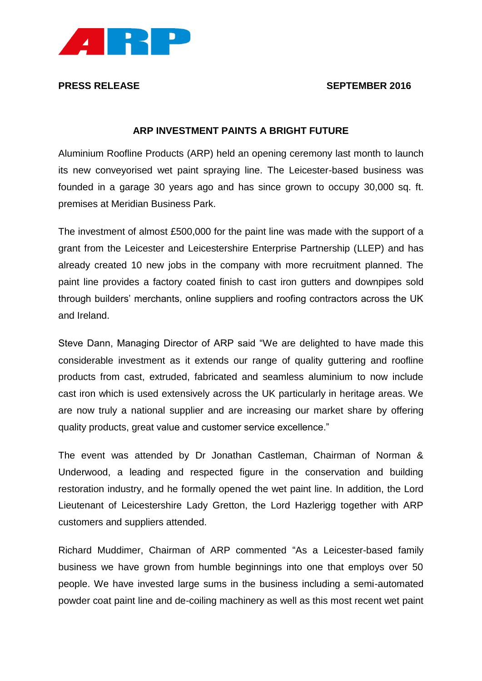

**PRESS RELEASE SEPTEMBER 2016** 

## **ARP INVESTMENT PAINTS A BRIGHT FUTURE**

Aluminium Roofline Products (ARP) held an opening ceremony last month to launch its new conveyorised wet paint spraying line. The Leicester-based business was founded in a garage 30 years ago and has since grown to occupy 30,000 sq. ft. premises at Meridian Business Park.

The investment of almost £500,000 for the paint line was made with the support of a grant from the Leicester and Leicestershire Enterprise Partnership (LLEP) and has already created 10 new jobs in the company with more recruitment planned. The paint line provides a factory coated finish to cast iron gutters and downpipes sold through builders' merchants, online suppliers and roofing contractors across the UK and Ireland.

Steve Dann, Managing Director of ARP said "We are delighted to have made this considerable investment as it extends our range of quality guttering and roofline products from cast, extruded, fabricated and seamless aluminium to now include cast iron which is used extensively across the UK particularly in heritage areas. We are now truly a national supplier and are increasing our market share by offering quality products, great value and customer service excellence."

The event was attended by Dr Jonathan Castleman, Chairman of Norman & Underwood, a leading and respected figure in the conservation and building restoration industry, and he formally opened the wet paint line. In addition, the Lord Lieutenant of Leicestershire Lady Gretton, the Lord Hazlerigg together with ARP customers and suppliers attended.

Richard Muddimer, Chairman of ARP commented "As a Leicester-based family business we have grown from humble beginnings into one that employs over 50 people. We have invested large sums in the business including a semi-automated powder coat paint line and de-coiling machinery as well as this most recent wet paint